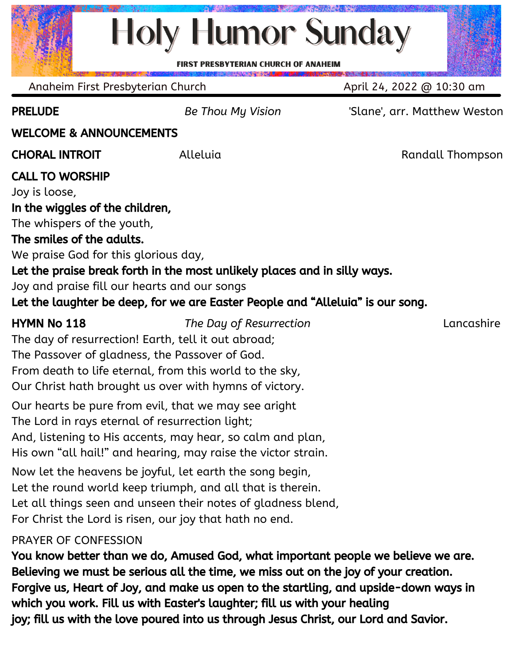# **Holy Humor Sunday**

**PRESBYTERIAN CHURCH OF ANAHEIM** 

PRELUDE *Be Thou My Vision* 'Slane', arr. Matthew Weston WELCOME & ANNOUNCEMENTS **CHORAL INTROIT** Alleluia Alleluia Randall Thompson CALL TO WORSHIP Joy is loose, In the wiggles of the children, The whispers of the youth, The smiles of the adults. We praise God for this glorious day, Let the praise break forth in the most unlikely places and in silly ways. Joy and praise fill our hearts and our songs Let the laughter be deep, for we are Easter People and "Alleluia" is our song. HYMN No 118 *The Day of Resurrection* Lancashire The day of resurrection! Earth, tell it out abroad; The Passover of gladness, the Passover of God. From death to life eternal, from this world to the sky, Our Christ hath brought us over with hymns of victory. Our hearts be pure from evil, that we may see aright The Lord in rays eternal of resurrection light; And, listening to His accents, may hear, so calm and plan, His own "all hail!" and hearing, may raise the victor strain. Now let the heavens be joyful, let earth the song begin, Let the round world keep triumph, and all that is therein. Let all things seen and unseen their notes of gladness blend, For Christ the Lord is risen, our joy that hath no end. PRAYER OF CONFESSION You know better than we do, Amused God, what important people we believe we are. Anaheim First Presbyterian Church April 24, 2022 @ 10:30 am

Believing we must be serious all the time, we miss out on the joy of your creation. Forgive us, Heart of Joy, and make us open to the startling, and upside-down ways in which you work. Fill us with Easter's laughter; fill us with your healing joy; fill us with the love poured into us through Jesus Christ, our Lord and Savior.